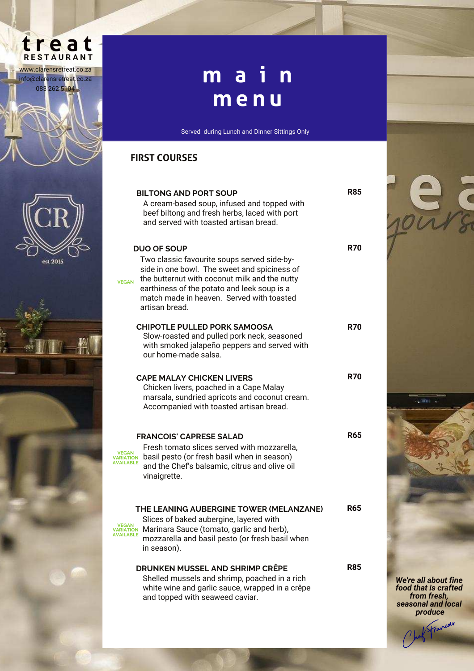# treat

www.clarensretreat.co.za info@clarensretreat.co.za 083 262 5104



est 2015



### **d i n n e r m a i n m e n u**

Served during Lunch and Dinner Sittings Only

### **FIRST COURSES**

| <b>BILTONG AND PORT SOUP</b><br>A cream-based soup, infused and topped with<br>beef biltong and fresh herbs, laced with port<br>and served with toasted artisan bread.                                                                                                                           | R85        |
|--------------------------------------------------------------------------------------------------------------------------------------------------------------------------------------------------------------------------------------------------------------------------------------------------|------------|
| <b>DUO OF SOUP</b><br>Two classic favourite soups served side-by-<br>side in one bowl. The sweet and spiciness of<br>the butternut with coconut milk and the nutty<br><b>VFGAN</b><br>earthiness of the potato and leek soup is a<br>match made in heaven. Served with toasted<br>artisan bread. | R70        |
| <b>CHIPOTLE PULLED PORK SAMOOSA</b><br>Slow-roasted and pulled pork neck, seasoned<br>with smoked jalapeño peppers and served with<br>our home-made salsa.                                                                                                                                       | <b>R70</b> |
| <b>CAPE MALAY CHICKEN LIVERS</b><br>Chicken livers, poached in a Cape Malay<br>marsala, sundried apricots and coconut cream.<br>Accompanied with toasted artisan bread.                                                                                                                          | <b>R70</b> |
| <b>FRANCOIS' CAPRESE SALAD</b><br>Fresh tomato slices served with mozzarella,<br>VEGAN<br>basil pesto (or fresh basil when in season)<br><b>VARIATION</b><br><b>AVAILABLE</b><br>and the Chef's balsamic, citrus and olive oil<br>vinaigrette.                                                   | <b>R65</b> |
| THE LEANING AUBERGINE TOWER (MELANZANE)<br>Slices of baked aubergine, layered with<br>Marinara Sauce (tomato, garlic and herb),<br>VARIATION<br><b>AVAILABLE</b><br>mozzarella and basil pesto (or fresh basil when<br>in season).                                                               | <b>R65</b> |
| <b>DRUNKEN MUSSEL AND SHRIMP CRÊPE</b><br>Shelled mussels and shrimp, poached in a rich<br>white wine and garlic sauce, wrapped in a crêpe<br>and topped with seaweed caviar.                                                                                                                    | R85        |

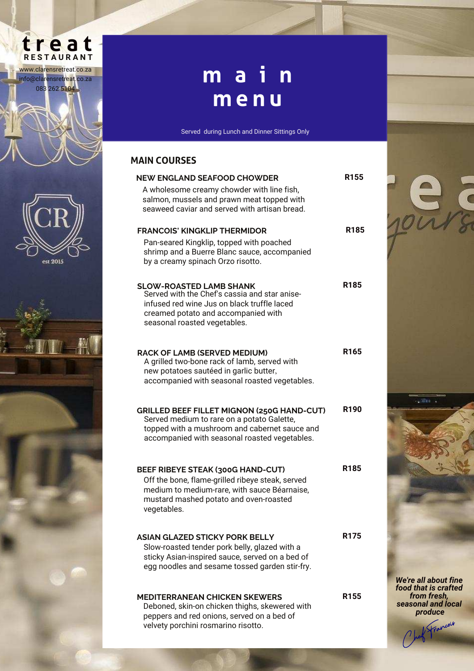# treat

www.clarensretreat.co.za info@clarensretreat.co.za 083 262 5104

est 2015

## **d i n n e r m a i n m e n u**

Served during Lunch and Dinner Sittings Only

#### **MAIN COURSES**

| <b>NEW ENGLAND SEAFOOD CHOWDER</b>                                                                                                        | R <sub>155</sub> |
|-------------------------------------------------------------------------------------------------------------------------------------------|------------------|
| A wholesome creamy chowder with line fish,<br>salmon, mussels and prawn meat topped with<br>seaweed caviar and served with artisan bread. |                  |
| <b>FRANCOIS' KINGKLIP THERMIDOR</b>                                                                                                       | R185             |
| Pan-seared Kingklip, topped with poached<br>shrimp and a Buerre Blanc sauce, accompanied<br>by a creamy spinach Orzo risotto.             |                  |
| <b>SLOW-ROASTED LAMB SHANK</b><br>Served with the Chef's cassia and star anise-                                                           | R185             |
| infused red wine Jus on black truffle laced<br>creamed potato and accompanied with                                                        |                  |
| seasonal roasted vegetables.                                                                                                              |                  |
| <b>RACK OF LAMB (SERVED MEDIUM)</b><br>A grilled two-bone rack of lamb, served with                                                       | R <sub>165</sub> |
| new potatoes sautéed in garlic butter,<br>accompanied with seasonal roasted vegetables.                                                   |                  |
|                                                                                                                                           |                  |
| <b>GRILLED BEEF FILLET MIGNON (250G HAND-CUT)</b><br>Served medium to rare on a potato Galette,                                           | R190             |
| topped with a mushroom and cabernet sauce and<br>accompanied with seasonal roasted vegetables.                                            |                  |
|                                                                                                                                           |                  |
| <b>BEEF RIBEYE STEAK (300G HAND-CUT)</b>                                                                                                  | R <sub>185</sub> |
| Off the bone, flame-grilled ribeye steak, served<br>medium to medium-rare, with sauce Béarnaise,                                          |                  |
| mustard mashed potato and oven-roasted<br>vegetables.                                                                                     |                  |
| ASIAN GLAZED STICKY PORK BELLY                                                                                                            | R <sub>175</sub> |
| Slow-roasted tender pork belly, glazed with a<br>sticky Asian-inspired sauce, served on a bed of                                          |                  |
| egg noodles and sesame tossed garden stir-fry.                                                                                            |                  |
| <b>MEDITERRANEAN CHICKEN SKEWERS</b><br>Deboned, skin-on chicken thighs, skewered with                                                    | R <sub>155</sub> |
| peppers and red onions, served on a bed of<br>velvety porchini rosmarino risotto.                                                         |                  |
|                                                                                                                                           |                  |



We're all about fine food that is crafted from fresh, seasonal and local produce Chef Francois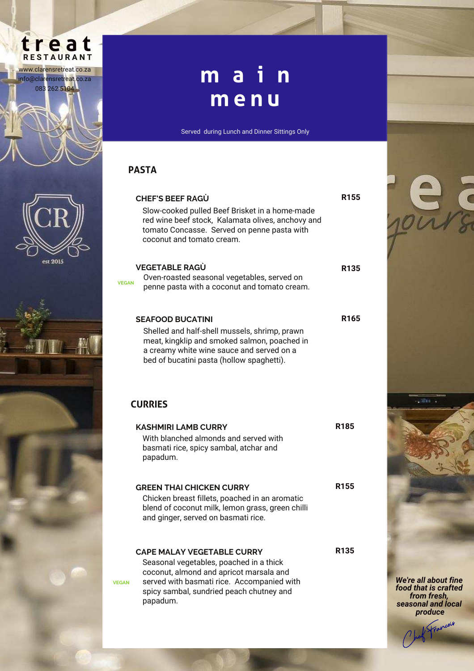



## **d i n n e r m a i n m e n u**

Served during Lunch and Dinner Sittings Only

#### **PASTA**

VEGAN

VEGAN

| <b>CHEF'S BEEF RAGU</b><br>Slow-cooked pulled Beef Brisket in a home-made<br>red wine beef stock, Kalamata olives, anchovy and<br>tomato Concasse. Served on penne pasta with<br>coconut and tomato cream.                    | R155             |
|-------------------------------------------------------------------------------------------------------------------------------------------------------------------------------------------------------------------------------|------------------|
| <b>VEGETABLE RAGÙ</b><br>Oven-roasted seasonal vegetables, served on<br>١Ń<br>penne pasta with a coconut and tomato cream.                                                                                                    | R <sub>135</sub> |
| <b>SEAFOOD BUCATINI</b><br>Shelled and half-shell mussels, shrimp, prawn<br>meat, kingklip and smoked salmon, poached in<br>a creamy white wine sauce and served on a<br>bed of bucatini pasta (hollow spaghetti).            | R <sub>165</sub> |
| <b>CURRIES</b>                                                                                                                                                                                                                |                  |
| <b>KASHMIRI LAMB CURRY</b><br>With blanched almonds and served with<br>basmati rice, spicy sambal, atchar and<br>papadum.                                                                                                     | R <sub>185</sub> |
| <b>GREEN THAI CHICKEN CURRY</b><br>Chicken breast fillets, poached in an aromatic<br>blend of coconut milk, lemon grass, green chilli<br>and ginger, served on basmati rice.                                                  | R <sub>155</sub> |
| <b>CAPE MALAY VEGETABLE CURRY</b><br>Seasonal vegetables, poached in a thick<br>coconut, almond and apricot marsala and<br>served with basmati rice. Accompanied with<br>spicy sambal, sundried peach chutney and<br>papadum. | R <sub>135</sub> |



We're all about fine food that is crafted from fresh, seasonal and local produce red Francois